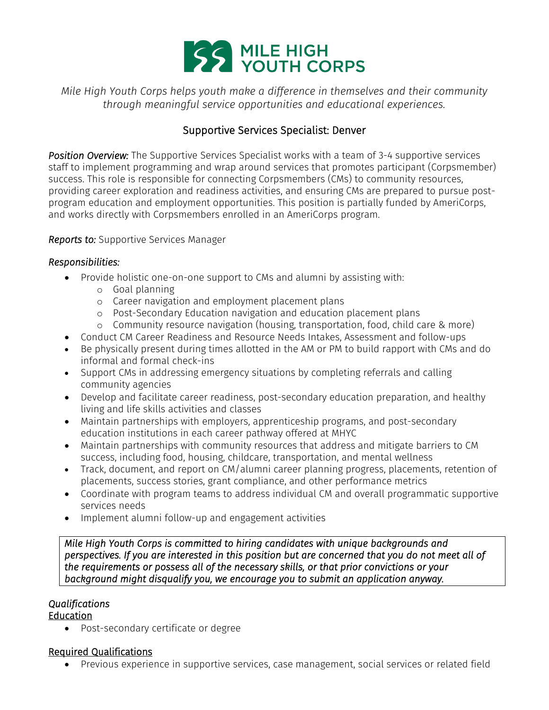

*Mile High Youth Corps helps youth make a difference in themselves and their community through meaningful service opportunities and educational experiences.* 

# Supportive Services Specialist: Denver

*Position Overview:* The Supportive Services Specialist works with a team of 3-4 supportive services staff to implement programming and wrap around services that promotes participant (Corpsmember) success. This role is responsible for connecting Corpsmembers (CMs) to community resources, providing career exploration and readiness activities, and ensuring CMs are prepared to pursue postprogram education and employment opportunities. This position is partially funded by AmeriCorps, and works directly with Corpsmembers enrolled in an AmeriCorps program.

#### *Reports to:* Supportive Services Manager

#### *Responsibilities:*

- Provide holistic one-on-one support to CMs and alumni by assisting with:
	- o Goal planning
	- o Career navigation and employment placement plans
	- o Post-Secondary Education navigation and education placement plans
	- o Community resource navigation (housing, transportation, food, child care & more)
- Conduct CM Career Readiness and Resource Needs Intakes, Assessment and follow-ups
- Be physically present during times allotted in the AM or PM to build rapport with CMs and do informal and formal check-ins
- Support CMs in addressing emergency situations by completing referrals and calling community agencies
- Develop and facilitate career readiness, post-secondary education preparation, and healthy living and life skills activities and classes
- Maintain partnerships with employers, apprenticeship programs, and post-secondary education institutions in each career pathway offered at MHYC
- Maintain partnerships with community resources that address and mitigate barriers to CM success, including food, housing, childcare, transportation, and mental wellness
- Track, document, and report on CM/alumni career planning progress, placements, retention of placements, success stories, grant compliance, and other performance metrics
- Coordinate with program teams to address individual CM and overall programmatic supportive services needs
- Implement alumni follow-up and engagement activities

*Mile High Youth Corps is committed to hiring candidates with unique backgrounds and perspectives. If you are interested in this position but are concerned that you do not meet all of the requirements or possess all of the necessary skills, or that prior convictions or your background might disqualify you, we encourage you to submit an application anyway.* 

## *Qualifications*

### **Education**

Post-secondary certificate or degree

### Required Qualifications

Previous experience in supportive services, case management, social services or related field